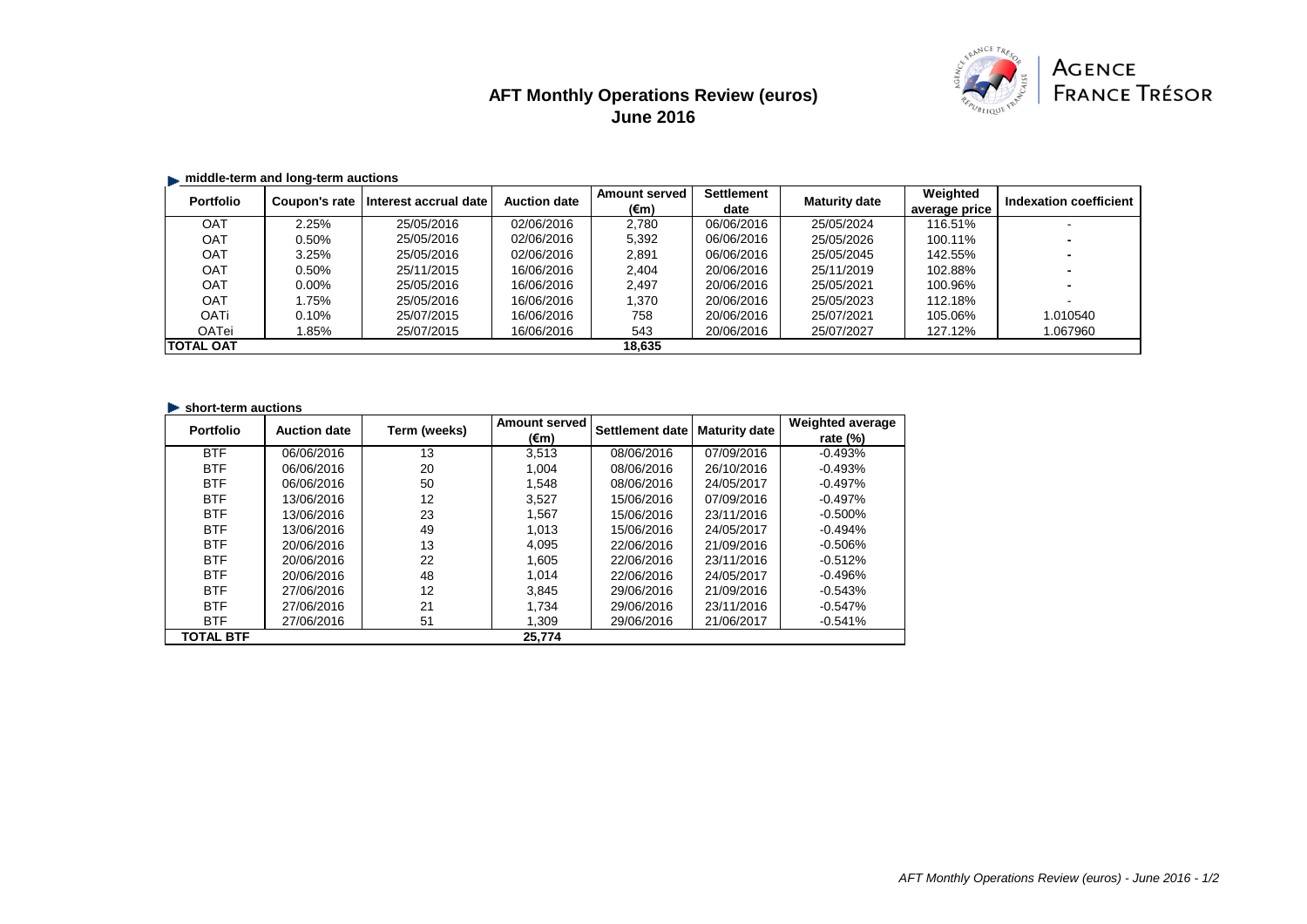# **AFT Monthly Operations Review (euros) June 2016**



## **E.** middle-term and long-term auctions

| <b>Portfolio</b> | Coupon's rate | Interest accrual date | <b>Auction date</b> | <b>Amount served</b> | <b>Settlement</b> | <b>Maturity date</b> | Weighted      | Indexation coefficient |
|------------------|---------------|-----------------------|---------------------|----------------------|-------------------|----------------------|---------------|------------------------|
|                  |               |                       |                     | (€m)                 | date              |                      | average price |                        |
| OAT              | 2.25%         | 25/05/2016            | 02/06/2016          | 2,780                | 06/06/2016        | 25/05/2024           | 116.51%       |                        |
| <b>OAT</b>       | 0.50%         | 25/05/2016            | 02/06/2016          | 5,392                | 06/06/2016        | 25/05/2026           | 100.11%       |                        |
| <b>OAT</b>       | 3.25%         | 25/05/2016            | 02/06/2016          | 2,891                | 06/06/2016        | 25/05/2045           | 142.55%       |                        |
| OAT              | 0.50%         | 25/11/2015            | 16/06/2016          | 2.404                | 20/06/2016        | 25/11/2019           | 102.88%       |                        |
| <b>OAT</b>       | $0.00\%$      | 25/05/2016            | 16/06/2016          | 2.497                | 20/06/2016        | 25/05/2021           | 100.96%       |                        |
| <b>OAT</b>       | 1.75%         | 25/05/2016            | 16/06/2016          | 1.370                | 20/06/2016        | 25/05/2023           | 112.18%       |                        |
| <b>OATi</b>      | 0.10%         | 25/07/2015            | 16/06/2016          | 758                  | 20/06/2016        | 25/07/2021           | 105.06%       | 1.010540               |
| OATei            | .85%          | 25/07/2015            | 16/06/2016          | 543                  | 20/06/2016        | 25/07/2027           | 127.12%       | 1.067960               |
| <b>TOTAL OAT</b> |               |                       |                     | 18.635               |                   |                      |               |                        |

#### **Short-term auctions**

| <b>Portfolio</b> | <b>Auction date</b> | Term (weeks) | <b>Amount served</b> | Settlement date | <b>Maturity date</b> | <b>Weighted average</b> |
|------------------|---------------------|--------------|----------------------|-----------------|----------------------|-------------------------|
|                  |                     |              | (€m)                 |                 |                      | rate $(\%)$             |
| <b>BTF</b>       | 06/06/2016          | 13           | 3.513                | 08/06/2016      | 07/09/2016           | $-0.493%$               |
| <b>BTF</b>       | 06/06/2016          | 20           | 1.004                | 08/06/2016      | 26/10/2016           | $-0.493%$               |
| <b>BTF</b>       | 06/06/2016          | 50           | 1.548                | 08/06/2016      | 24/05/2017           | $-0.497%$               |
| <b>BTF</b>       | 13/06/2016          | 12           | 3.527                | 15/06/2016      | 07/09/2016           | $-0.497%$               |
| <b>BTF</b>       | 13/06/2016          | 23           | 1.567                | 15/06/2016      | 23/11/2016           | $-0.500%$               |
| <b>BTF</b>       | 13/06/2016          | 49           | 1.013                | 15/06/2016      | 24/05/2017           | $-0.494%$               |
| <b>BTF</b>       | 20/06/2016          | 13           | 4.095                | 22/06/2016      | 21/09/2016           | $-0.506%$               |
| <b>BTF</b>       | 20/06/2016          | 22           | 1.605                | 22/06/2016      | 23/11/2016           | $-0.512%$               |
| <b>BTF</b>       | 20/06/2016          | 48           | 1.014                | 22/06/2016      | 24/05/2017           | $-0.496%$               |
| <b>BTF</b>       | 27/06/2016          | 12           | 3.845                | 29/06/2016      | 21/09/2016           | $-0.543%$               |
| <b>BTF</b>       | 27/06/2016          | 21           | 1.734                | 29/06/2016      | 23/11/2016           | $-0.547%$               |
| <b>BTF</b>       | 27/06/2016          | 51           | 1,309                | 29/06/2016      | 21/06/2017           | $-0.541%$               |
| <b>TOTAL BTF</b> |                     |              | 25.774               |                 |                      |                         |